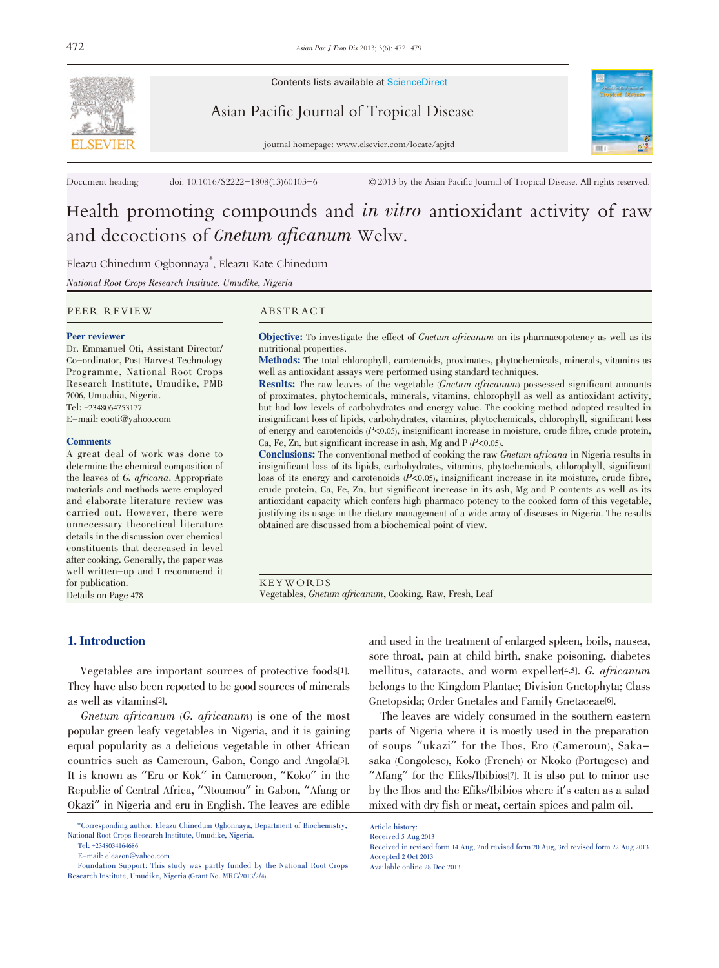

Contents lists available at ScienceDirect

## Asian Pacific Journal of Tropical Disease



journal homepage: www.elsevier.com/locate/apjtd

Document heading doi: 10.1016/S2222-1808(13)60103-6 © 2013 by the Asian Pacific Journal of Tropical Disease. All rights reserved.

# Health promoting compounds and in vitro antioxidant activity of raw and decoctions of Gnetum aficanum Welw.

Eleazu Chinedum Ogbonnaya\* , Eleazu Kate Chinedum

National Root Crops Research Institute, Umudike, Nigeria

### PEER REVIEW ABSTRACT

#### Peer reviewer

Dr. Emmanuel Oti, Assistant Director/ Co-ordinator, Post Harvest Technology Programme, National Root Crops Research Institute, Umudike, PMB 7006, Umuahia, Nigeria. Tel: +2348064753177 E-mail: eooti@yahoo.com

#### **Comments**

A great deal of work was done to determine the chemical composition of the leaves of G. africana. Appropriate materials and methods were employed and elaborate literature review was carried out. However, there were unnecessary theoretical literature details in the discussion over chemical constituents that decreased in level after cooking. Generally, the paper was well written-up and I recommend it for publication. Details on Page 478

**Objective:** To investigate the effect of *Gnetum africanum* on its pharmacopotency as well as its nutritional properties.

Methods: The total chlorophyll, carotenoids, proximates, phytochemicals, minerals, vitamins as well as antioxidant assays were performed using standard techniques.

Results: The raw leaves of the vegetable (Gnetum africanum) possessed significant amounts of proximates, phytochemicals, minerals, vitamins, chlorophyll as well as antioxidant activity, but had low levels of carbohydrates and energy value. The cooking method adopted resulted in insignificant loss of lipids, carbohydrates, vitamins, phytochemicals, chlorophyll, significant loss of energy and carotenoids  $(P<0.05)$ , insignificant increase in moisture, crude fibre, crude protein, Ca, Fe, Zn, but significant increase in ash, Mg and P  $(P<0.05)$ .

Conclusions: The conventional method of cooking the raw *Gnetum africana* in Nigeria results in insignificant loss of its lipids, carbohydrates, vitamins, phytochemicals, chlorophyll, significant loss of its energy and carotenoids  $(P<0.05)$ , insignificant increase in its moisture, crude fibre, crude protein, Ca, Fe, Zn, but significant increase in its ash, Mg and P contents as well as its antioxidant capacity which confers high pharmaco potency to the cooked form of this vegetable, justifying its usage in the dietary management of a wide array of diseases in Nigeria. The results obtained are discussed from a biochemical point of view.

KEYWORDS Vegetables, Gnetum africanum, Cooking, Raw, Fresh, Leaf

## 1. Introduction

 Vegetables are important sources of protective foods[1]. They have also been reported to be good sources of minerals as well as vitamins[2].

 Gnetum africanum (G. africanum) is one of the most popular green leafy vegetables in Nigeria, and it is gaining equal popularity as a delicious vegetable in other African countries such as Cameroun, Gabon, Congo and Angola[3]. It is known as "Eru or Kok" in Cameroon, "Koko" in the Republic of Central Africa, "Ntoumou" in Gabon, "Afang or Okazi" in Nigeria and eru in English. The leaves are edible

Tel: +2348034164686

and used in the treatment of enlarged spleen, boils, nausea, sore throat, pain at child birth, snake poisoning, diabetes mellitus, cataracts, and worm expeller[4,5]. G. africanum belongs to the Kingdom Plantae; Division Gnetophyta; Class Gnetopsida; Order Gnetales and Family Gnetaceae[6].

 The leaves are widely consumed in the southern eastern parts of Nigeria where it is mostly used in the preparation of soups "ukazi" for the Ibos, Ero (Cameroun), Sakasaka (Congolese), Koko (French) or Nkoko (Portugese) and "Afang" for the Efiks/Ibibios<sup>[7]</sup>. It is also put to minor use by the Ibos and the Efiks/Ibibios where it's eaten as a salad mixed with dry fish or meat, certain spices and palm oil.

 <sup>\*</sup>Corresponding author: Eleazu Chinedum Ogbonnaya, Department of Biochemistry, National Root Crops Research Institute, Umudike, Nigeria.

E-mail: eleazon@yahoo.com

Foundation Support: This study was partly funded by the National Root Crops Research Institute, Umudike, Nigeria (Grant No. MRC/2013/2/4).

Article history: Received 5 Aug 2013

Received in revised form 14 Aug, 2nd revised form 20 Aug, 3rd revised form 22 Aug 2013

Accepted 2 Oct 2013 Available online 28 Dec 2013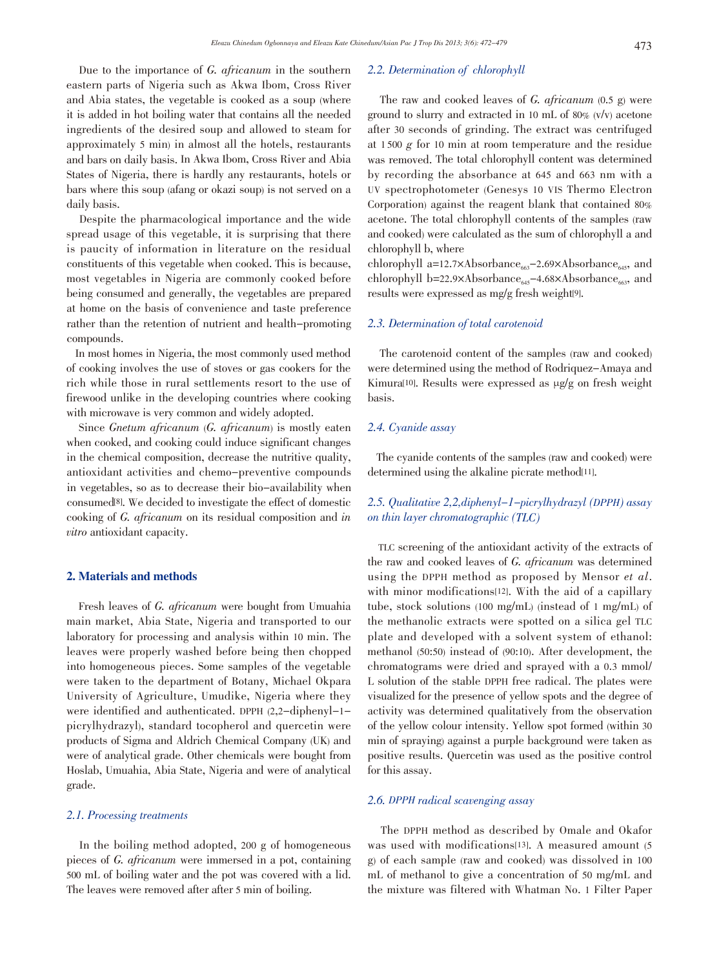Due to the importance of G. *africanum* in the southern eastern parts of Nigeria such as Akwa Ibom, Cross River and Abia states, the vegetable is cooked as a soup (where it is added in hot boiling water that contains all the needed ingredients of the desired soup and allowed to steam for approximately 5 min) in almost all the hotels, restaurants and bars on daily basis. In Akwa Ibom, Cross River and Abia States of Nigeria, there is hardly any restaurants, hotels or bars where this soup (afang or okazi soup) is not served on a daily basis.

 Despite the pharmacological importance and the wide spread usage of this vegetable, it is surprising that there is paucity of information in literature on the residual constituents of this vegetable when cooked. This is because, most vegetables in Nigeria are commonly cooked before being consumed and generally, the vegetables are prepared at home on the basis of convenience and taste preference rather than the retention of nutrient and health-promoting compounds.

 In most homes in Nigeria, the most commonly used method of cooking involves the use of stoves or gas cookers for the rich while those in rural settlements resort to the use of firewood unlike in the developing countries where cooking with microwave is very common and widely adopted.

 Since Gnetum africanum (G. africanum) is mostly eaten when cooked, and cooking could induce significant changes in the chemical composition, decrease the nutritive quality, antioxidant activities and chemo-preventive compounds in vegetables, so as to decrease their bio-availability when consumed[8]. We decided to investigate the effect of domestic cooking of G. africanum on its residual composition and in vitro antioxidant capacity.

## 2. Materials and methods

 Fresh leaves of G. africanum were bought from Umuahia main market, Abia State, Nigeria and transported to our laboratory for processing and analysis within 10 min. The leaves were properly washed before being then chopped into homogeneous pieces. Some samples of the vegetable were taken to the department of Botany, Michael Okpara University of Agriculture, Umudike, Nigeria where they were identified and authenticated. DPPH (2,2-diphenyl-1 picrylhydrazyl), standard tocopherol and quercetin were products of Sigma and Aldrich Chemical Company (UK) and were of analytical grade. Other chemicals were bought from Hoslab, Umuahia, Abia State, Nigeria and were of analytical grade.

#### 2.1. Processing treatments

 In the boiling method adopted, 200 g of homogeneous pieces of G. africanum were immersed in a pot, containing 500 mL of boiling water and the pot was covered with a lid. The leaves were removed after after 5 min of boiling.

## 2.2. Determination of chlorophyll

 The raw and cooked leaves of G. africanum (0.5 g) were ground to slurry and extracted in 10 mL of 80%  $(v/v)$  acetone after 30 seconds of grinding. The extract was centrifuged at 1 <sup>500</sup> g for 10 min at room temperature and the residue was removed. The total chlorophyll content was determined by recording the absorbance at 645 and 663 nm with a UV spectrophotometer (Genesys 10 VIS Thermo Electron Corporation) against the reagent blank that contained 80% acetone. The total chlorophyll contents of the samples (raw and cooked) were calculated as the sum of chlorophyll a and chlorophyll b, where

chlorophyll a=12.7 $\times$ Absorbance<sub>663</sub>-2.69 $\times$ Absorbance<sub>645</sub>, and chlorophyll b=22.9×Absorbance<sub>645</sub>-4.68×Absorbance<sub>663</sub>, and results were expressed as mg/g fresh weight[9].

## 2.3. Determination of total carotenoid

 The carotenoid content of the samples (raw and cooked) were determined using the method of Rodriquez-Amaya and Kimura<sup>[10]</sup>. Results were expressed as  $\mu$ g/g on fresh weight basis.

## 2.4. Cyanide assay

 The cyanide contents of the samples (raw and cooked) were determined using the alkaline picrate method<sup>[11]</sup>.

## 2.5. Qualitative 2,2,diphenyl-1-picrylhydrazyl (DPPH) assay on thin layer chromatographic (TLC)

 TLC screening of the antioxidant activity of the extracts of the raw and cooked leaves of G. africanum was determined using the DPPH method as proposed by Mensor *et al.* with minor modifications[12]. With the aid of a capillary tube, stock solutions (100 mg/mL) (instead of 1 mg/mL) of the methanolic extracts were spotted on a silica gel TLC plate and developed with a solvent system of ethanol: methanol (50:50) instead of (90:10). After development, the chromatograms were dried and sprayed with a 0.3 mmol/ L solution of the stable DPPH free radical. The plates were visualized for the presence of yellow spots and the degree of activity was determined qualitatively from the observation of the yellow colour intensity. Yellow spot formed (within 30 min of spraying) against a purple background were taken as positive results. Quercetin was used as the positive control for this assay.

## 2.6. DPPH radical scavenging assay

 The DPPH method as described by Omale and Okafor was used with modifications[13]. A measured amount (5 g) of each sample (raw and cooked) was dissolved in 100 mL of methanol to give a concentration of 50 mg/mL and the mixture was filtered with Whatman No. 1 Filter Paper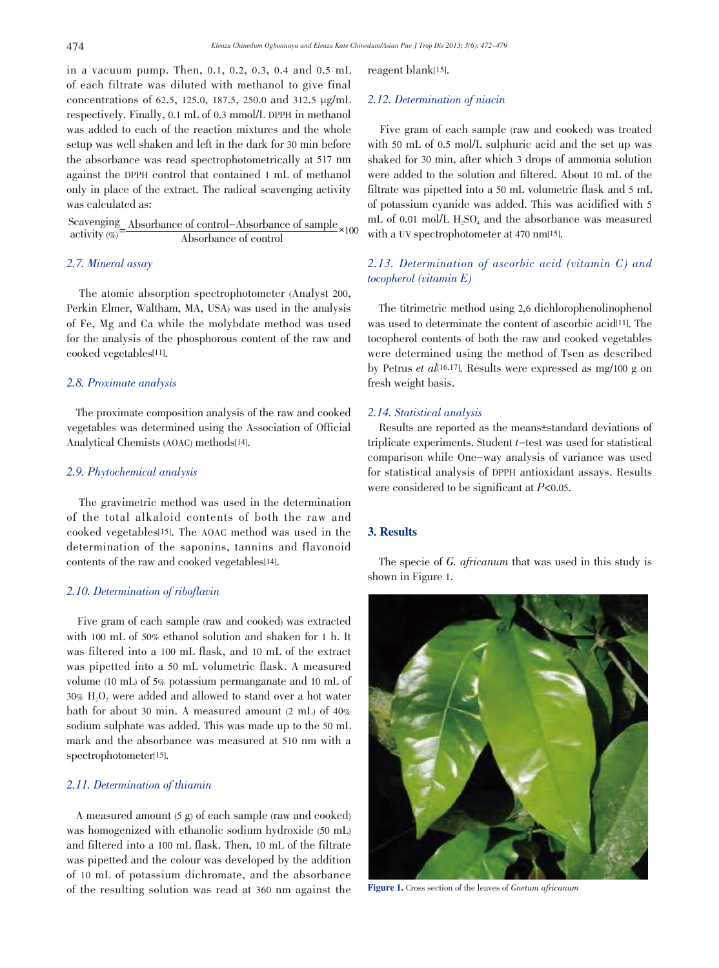in a vacuum pump. Then, 0.1, 0.2, 0.3, 0.4 and 0.5 mL of each filtrate was diluted with methanol to give final concentrations of 62.5, 125.0, 187.5, 250.0 and 312.5 µg/mL respectively. Finally, 0.1 mL of 0.3 mmol/L DPPH in methanol was added to each of the reaction mixtures and the whole setup was well shaken and left in the dark for 30 min before the absorbance was read spectrophotometrically at 517 nm against the DPPH control that contained 1 mL of methanol only in place of the extract. The radical scavenging activity was calculated as:

Scavenging  $\frac{\text{Absorbane of control} - \text{Absorbane of sample}}{\text{Absorbane of control}} \times 100$ activity (%)

## 2.7. Mineral assay

 The atomic absorption spectrophotometer (Analyst 200, Perkin Elmer, Waltham, MA, USA) was used in the analysis of Fe, Mg and Ca while the molybdate method was used for the analysis of the phosphorous content of the raw and cooked vegetables[11].

## 2.8. Proximate analysis

 The proximate composition analysis of the raw and cooked vegetables was determined using the Association of Official Analytical Chemists (AOAC) methods[14].

## 2.9. Phytochemical analysis

 The gravimetric method was used in the determination of the total alkaloid contents of both the raw and cooked vegetables[15]. The AOAC method was used in the determination of the saponins, tannins and flavonoid contents of the raw and cooked vegetables[14].

## 2.10. Determination of riboflavin

 Five gram of each sample (raw and cooked) was extracted with 100 mL of 50% ethanol solution and shaken for 1 h. It was filtered into a 100 mL flask, and 10 mL of the extract was pipetted into a 50 mL volumetric flask. A measured volume (10 mL) of 5% potassium permanganate and 10 mL of  $30\%$  H<sub>2</sub>O<sub>2</sub> were added and allowed to stand over a hot water bath for about 30 min. A measured amount (2 mL) of 40% sodium sulphate was added. This was made up to the 50 mL mark and the absorbance was measured at 510 nm with a spectrophotometer[15].

## 2.11. Determination of thiamin

 A measured amount (5 g) of each sample (raw and cooked) was homogenized with ethanolic sodium hydroxide (50 mL) and filtered into a 100 mL flask. Then, 10 mL of the filtrate was pipetted and the colour was developed by the addition of 10 mL of potassium dichromate, and the absorbance of the resulting solution was read at 360 nm against the reagent blank[15].

## 2.12. Determination of niacin

 Five gram of each sample (raw and cooked) was treated with 50 mL of 0.5 mol/L sulphuric acid and the set up was shaked for 30 min, after which 3 drops of ammonia solution were added to the solution and filtered. About 10 mL of the filtrate was pipetted into a 50 mL volumetric flask and 5 mL of potassium cyanide was added. This was acidified with 5 mL of 0.01 mol/L  $H<sub>2</sub>SO<sub>4</sub>$  and the absorbance was measured with a UV spectrophotometer at 470 nm[15].

## 2.13. Determination of ascorbic acid (vitamin C) and tocopherol (vitamin E)

 The titrimetric method using 2,6 dichlorophenolinophenol was used to determinate the content of ascorbic acid<sup>[11]</sup>. The tocopherol contents of both the raw and cooked vegetables were determined using the method of Tsen as described by Petrus et al[16,17]. Results were expressed as mg/100 g on fresh weight basis.

## 2.14. Statistical analysis

Results are reported as the means±standard deviations of triplicate experiments. Student  $t$ -test was used for statistical comparison while One-way analysis of variance was used for statistical analysis of DPPH antioxidant assays. Results were considered to be significant at  $P<0.05$ .

## 3. Results

The specie of G. *africanum* that was used in this study is shown in Figure 1.



Figure 1. Cross section of the leaves of Gnetum africanum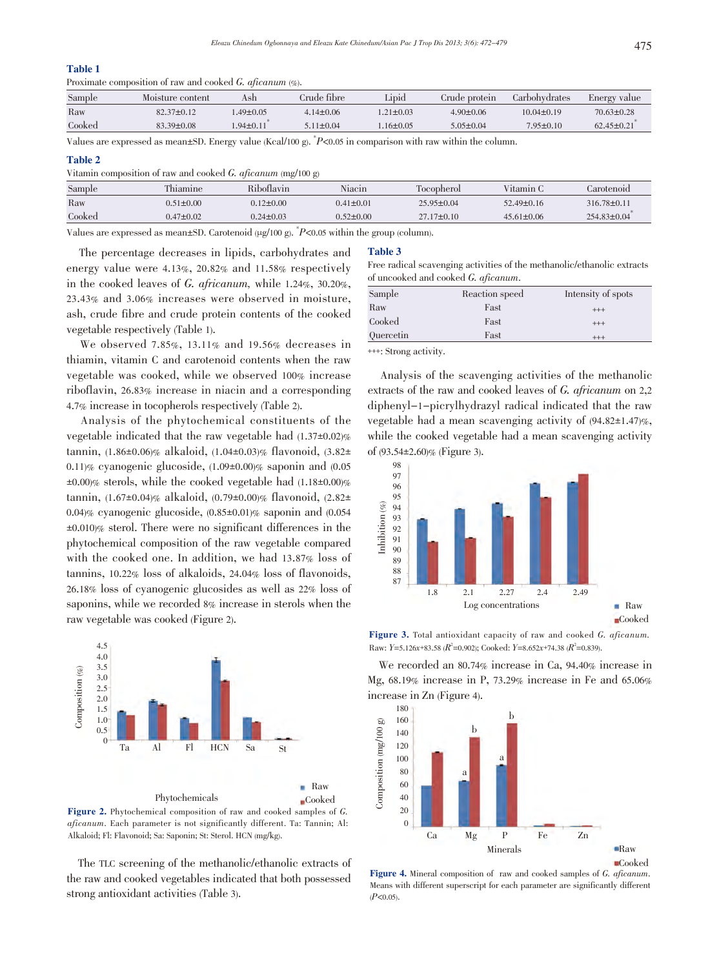## Table 1

| Proximate composition of raw and cooked G. aficanum (%). |  |  |  |  |  |
|----------------------------------------------------------|--|--|--|--|--|
|----------------------------------------------------------|--|--|--|--|--|

| Sample | Moisture content | Ash            | Crude fibre     | Lipid          | Crude protein-  | Carbohvdrates    | Energy value     |
|--------|------------------|----------------|-----------------|----------------|-----------------|------------------|------------------|
| Raw    | $82.37 \pm 0.12$ | $.49 \pm 0.05$ | $4.14\pm0.06$   | $.21 \pm 0.03$ | $4.90 \pm 0.06$ | $10.04 \pm 0.19$ | $70.63 \pm 0.28$ |
| Cooked | $83.39 \pm 0.08$ | $.94 \pm 0.11$ | $5.11 \pm 0.04$ | $.16 \pm 0.05$ | $5.05 \pm 0.04$ | $7.95 \pm 0.10$  | $62.45 \pm 0.21$ |

Values are expressed as mean $\pm$ SD. Energy value (Kcal/100 g).  $\degree$ P<0.05 in comparison with raw within the column.

#### Table 2

Vitamin composition of raw and cooked G. aficanum (mg/100 g)

| Sample | Thiamine        | Riboflavin I    | Niacin          | <b>Tocopherol</b> | Vitamin C        | Carotenoid        |
|--------|-----------------|-----------------|-----------------|-------------------|------------------|-------------------|
| Raw    | $0.51 \pm 0.00$ | $0.12 \pm 0.00$ | $0.41 \pm 0.01$ | $25.95 \pm 0.04$  | $52.49 \pm 0.16$ | $316.78 \pm 0.11$ |
| Cooked | $0.47 \pm 0.02$ | $0.24 \pm 0.03$ | $0.52 \pm 0.00$ | $27.17 \pm 0.10$  | $45.61 \pm 0.06$ | $254.83 \pm 0.04$ |
|        |                 |                 |                 |                   |                  |                   |

Values are expressed as mean $\pm$ SD. Carotenoid ( $\mu$ g/100 g).  $P$ <0.05 within the group (column).

 The percentage decreases in lipids, carbohydrates and energy value were  $4.13\%$ ,  $20.82\%$  and  $11.58\%$  respectively in the cooked leaves of G. africanum, while 1.24%, 30.20%, 23.43% and 3.06% increases were observed in moisture, ash, crude fibre and crude protein contents of the cooked vegetable respectively (Table 1).

 We observed 7.85%, 13.11% and 19.56% decreases in thiamin, vitamin C and carotenoid contents when the raw vegetable was cooked, while we observed 100% increase riboflavin, 26.83% increase in niacin and a corresponding 4.7% increase in tocopherols respectively (Table 2).

 Analysis of the phytochemical constituents of the vegetable indicated that the raw vegetable had  $(1.37\pm0.02)\%$ tannin,  $(1.86\pm0.06)\%$  alkaloid,  $(1.04\pm0.03)\%$  flavonoid,  $(3.82\pm$ 0.11)% cyanogenic glucoside,  $(1.09\pm0.00)$ % saponin and  $(0.05)$  $\pm 0.00\%$  sterols, while the cooked vegetable had  $(1.18\pm0.00)\%$ tannin,  $(1.67\pm0.04)\%$  alkaloid,  $(0.79\pm0.00)\%$  flavonoid,  $(2.82\pm$ 0.04)% cyanogenic glucoside,  $(0.85\pm0.01)\%$  saponin and  $(0.054)$  $\pm 0.010\%$  sterol. There were no significant differences in the phytochemical composition of the raw vegetable compared with the cooked one. In addition, we had 13.87% loss of tannins, 10.22% loss of alkaloids, 24.04% loss of flavonoids, 26.18% loss of cyanogenic glucosides as well as 22% loss of saponins, while we recorded 8% increase in sterols when the raw vegetable was cooked (Figure 2).



Figure 2. Phytochemical composition of raw and cooked samples of G. aficanum. Each parameter is not significantly different. Ta: Tannin; Al: Alkaloid; Fl: Flavonoid; Sa: Saponin; St: Sterol. HCN (mg/kg).

 The TLC screening of the methanolic/ethanolic extracts of the raw and cooked vegetables indicated that both possessed strong antioxidant activities (Table 3).

#### Table 3

Free radical scavenging activities of the methanolic/ethanolic extracts of uncooked and cooked G. aficanum.

| Sample    | Reaction speed | Intensity of spots |
|-----------|----------------|--------------------|
| Raw       | Fast           | $^{+++}$           |
| Cooked    | Fast           | $^{+++}$           |
| Quercetin | Fast           | $^{+++}$           |

+++: Strong activity.

 Analysis of the scavenging activities of the methanolic extracts of the raw and cooked leaves of G. africanum on 2,2 diphenyl-1-picrylhydrazyl radical indicated that the raw vegetable had a mean scavenging activity of  $(94.82 \pm 1.47)\%$ , while the cooked vegetable had a mean scavenging activity of  $(93.54 \pm 2.60)$ % (Figure 3).



Figure 3. Total antioxidant capacity of raw and cooked G. aficanum. Raw: Y=5.126x+83.58 ( $R^2$ =0.902); Cooked: Y=8.652x+74.38 ( $R^2$ =0.839).

 We recorded an 80.74% increase in Ca, 94.40% increase in Mg, 68.19% increase in P, 73.29% increase in Fe and 65.06% increase in Zn (Figure 4).



Figure 4. Mineral composition of raw and cooked samples of G. aficanum. Means with different superscript for each parameter are significantly different  $(P<0.05)$ .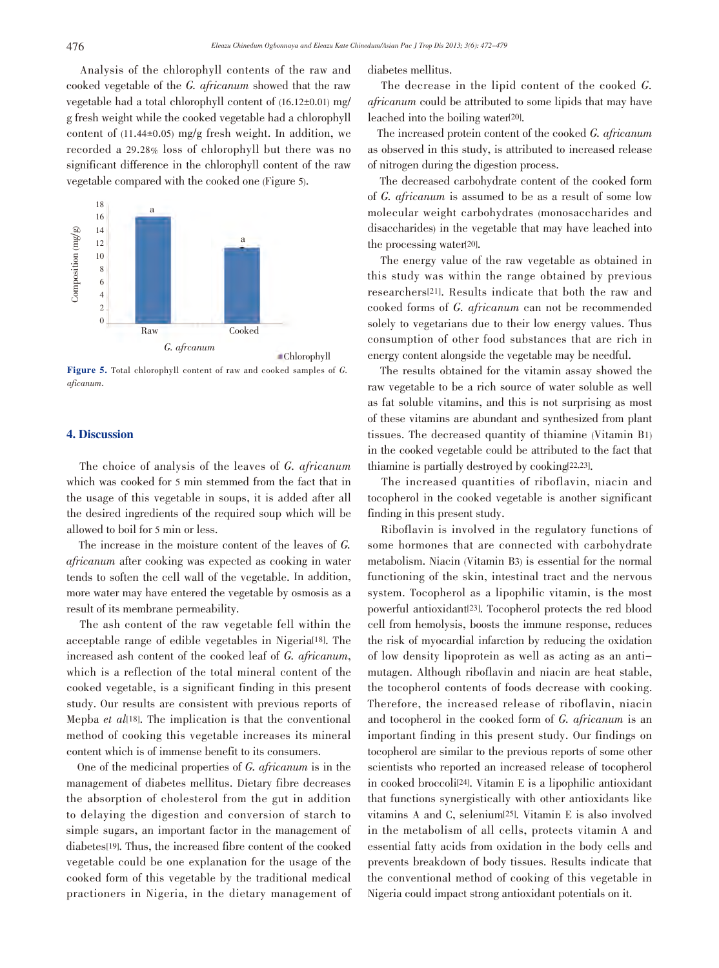Analysis of the chlorophyll contents of the raw and cooked vegetable of the G. africanum showed that the raw vegetable had a total chlorophyll content of  $(16.12\pm0.01)$  mg/ g fresh weight while the cooked vegetable had a chlorophyll content of  $(11.44\pm0.05)$  mg/g fresh weight. In addition, we recorded a 29.28% loss of chlorophyll but there was no significant difference in the chlorophyll content of the raw vegetable compared with the cooked one (Figure 5).



Figure 5. Total chlorophyll content of raw and cooked samples of G. aficanum.

## 4. Discussion

 The choice of analysis of the leaves of G. africanum which was cooked for 5 min stemmed from the fact that in the usage of this vegetable in soups, it is added after all the desired ingredients of the required soup which will be allowed to boil for 5 min or less.

 The increase in the moisture content of the leaves of G. africanum after cooking was expected as cooking in water tends to soften the cell wall of the vegetable. In addition, more water may have entered the vegetable by osmosis as a result of its membrane permeability.

 The ash content of the raw vegetable fell within the acceptable range of edible vegetables in Nigeria[18]. The increased ash content of the cooked leaf of G. africanum, which is a reflection of the total mineral content of the cooked vegetable, is a significant finding in this present study. Our results are consistent with previous reports of Mepba et  $al$ <sup>[18]</sup>. The implication is that the conventional method of cooking this vegetable increases its mineral content which is of immense benefit to its consumers.

 One of the medicinal properties of G. africanum is in the management of diabetes mellitus. Dietary fibre decreases the absorption of cholesterol from the gut in addition to delaying the digestion and conversion of starch to simple sugars, an important factor in the management of diabetes[19]. Thus, the increased fibre content of the cooked vegetable could be one explanation for the usage of the cooked form of this vegetable by the traditional medical practioners in Nigeria, in the dietary management of diabetes mellitus.

 The decrease in the lipid content of the cooked G. africanum could be attributed to some lipids that may have leached into the boiling water[20].

 The increased protein content of the cooked G. africanum as observed in this study, is attributed to increased release of nitrogen during the digestion process.

 The decreased carbohydrate content of the cooked form of G. africanum is assumed to be as a result of some low molecular weight carbohydrates (monosaccharides and disaccharides) in the vegetable that may have leached into the processing water[20].

 The energy value of the raw vegetable as obtained in this study was within the range obtained by previous researchers[21]. Results indicate that both the raw and cooked forms of G. africanum can not be recommended solely to vegetarians due to their low energy values. Thus consumption of other food substances that are rich in energy content alongside the vegetable may be needful.

 The results obtained for the vitamin assay showed the raw vegetable to be a rich source of water soluble as well as fat soluble vitamins, and this is not surprising as most of these vitamins are abundant and synthesized from plant tissues. The decreased quantity of thiamine (Vitamin B1) in the cooked vegetable could be attributed to the fact that thiamine is partially destroyed by cooking[22,23].

 The increased quantities of riboflavin, niacin and tocopherol in the cooked vegetable is another significant finding in this present study.

 Riboflavin is involved in the regulatory functions of some hormones that are connected with carbohydrate metabolism. Niacin (Vitamin B3) is essential for the normal functioning of the skin, intestinal tract and the nervous system. Tocopherol as a lipophilic vitamin, is the most powerful antioxidant[23]. Tocopherol protects the red blood cell from hemolysis, boosts the immune response, reduces the risk of myocardial infarction by reducing the oxidation of low density lipoprotein as well as acting as an antimutagen. Although riboflavin and niacin are heat stable, the tocopherol contents of foods decrease with cooking. Therefore, the increased release of riboflavin, niacin and tocopherol in the cooked form of G. africanum is an important finding in this present study. Our findings on tocopherol are similar to the previous reports of some other scientists who reported an increased release of tocopherol in cooked broccoli[24]. Vitamin E is a lipophilic antioxidant that functions synergistically with other antioxidants like vitamins A and C, selenium[25]. Vitamin E is also involved in the metabolism of all cells, protects vitamin A and essential fatty acids from oxidation in the body cells and prevents breakdown of body tissues. Results indicate that the conventional method of cooking of this vegetable in Nigeria could impact strong antioxidant potentials on it.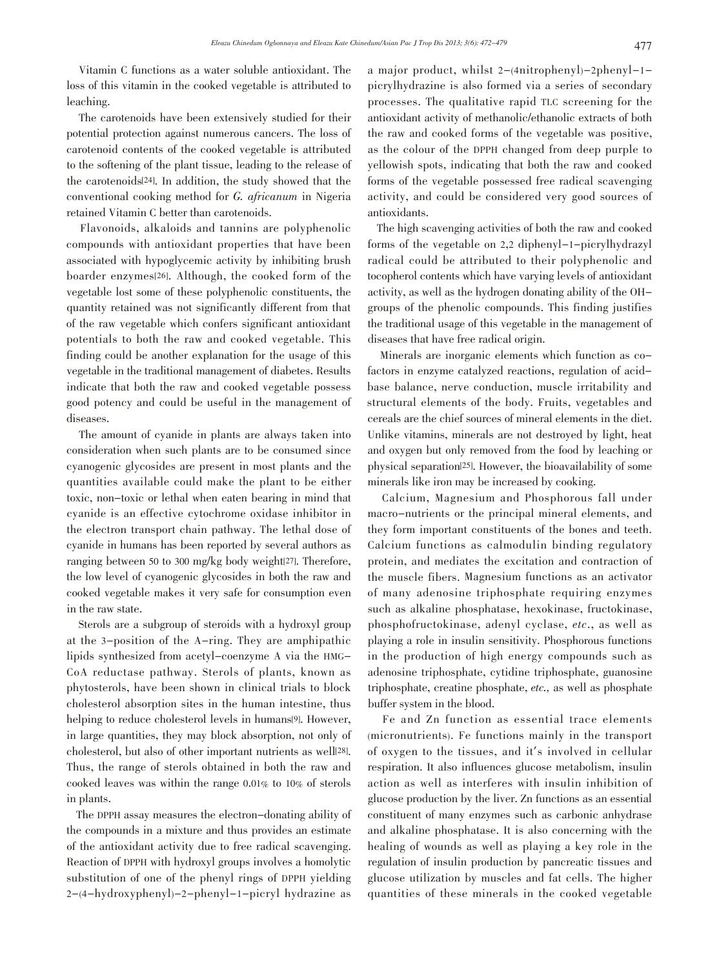Vitamin C functions as a water soluble antioxidant. The loss of this vitamin in the cooked vegetable is attributed to leaching.

 The carotenoids have been extensively studied for their potential protection against numerous cancers. The loss of carotenoid contents of the cooked vegetable is attributed to the softening of the plant tissue, leading to the release of the carotenoids[24]. In addition, the study showed that the conventional cooking method for G. africanum in Nigeria retained Vitamin C better than carotenoids.

 Flavonoids, alkaloids and tannins are polyphenolic compounds with antioxidant properties that have been associated with hypoglycemic activity by inhibiting brush boarder enzymes[26]. Although, the cooked form of the vegetable lost some of these polyphenolic constituents, the quantity retained was not significantly different from that of the raw vegetable which confers significant antioxidant potentials to both the raw and cooked vegetable. This finding could be another explanation for the usage of this vegetable in the traditional management of diabetes. Results indicate that both the raw and cooked vegetable possess good potency and could be useful in the management of diseases.

 The amount of cyanide in plants are always taken into consideration when such plants are to be consumed since cyanogenic glycosides are present in most plants and the quantities available could make the plant to be either toxic, non-toxic or lethal when eaten bearing in mind that cyanide is an effective cytochrome oxidase inhibitor in the electron transport chain pathway. The lethal dose of cyanide in humans has been reported by several authors as ranging between 50 to 300 mg/kg body weight[27]. Therefore, the low level of cyanogenic glycosides in both the raw and cooked vegetable makes it very safe for consumption even in the raw state.

 Sterols are a subgroup of steroids with a hydroxyl group at the 3-position of the A-ring. They are amphipathic lipids synthesized from acetyl-coenzyme A via the HMG-CoA reductase pathway. Sterols of plants, known as phytosterols, have been shown in clinical trials to block cholesterol absorption sites in the human intestine, thus helping to reduce cholesterol levels in humans[9]. However, in large quantities, they may block absorption, not only of cholesterol, but also of other important nutrients as well[28]. Thus, the range of sterols obtained in both the raw and cooked leaves was within the range 0.01% to 10% of sterols in plants.

 The DPPH assay measures the electron-donating ability of the compounds in a mixture and thus provides an estimate of the antioxidant activity due to free radical scavenging. Reaction of DPPH with hydroxyl groups involves a homolytic substitution of one of the phenyl rings of DPPH yielding 2-(4-hydroxyphenyl)-2-phenyl-1-picryl hydrazine as

a major product, whilst 2-(4nitrophenyl)-2phenyl-1 picrylhydrazine is also formed via a series of secondary processes. The qualitative rapid TLC screening for the antioxidant activity of methanolic/ethanolic extracts of both the raw and cooked forms of the vegetable was positive, as the colour of the DPPH changed from deep purple to yellowish spots, indicating that both the raw and cooked forms of the vegetable possessed free radical scavenging activity, and could be considered very good sources of antioxidants.

 The high scavenging activities of both the raw and cooked forms of the vegetable on 2,2 diphenyl-1-picrylhydrazyl radical could be attributed to their polyphenolic and tocopherol contents which have varying levels of antioxidant activity, as well as the hydrogen donating ability of the OHgroups of the phenolic compounds. This finding justifies the traditional usage of this vegetable in the management of diseases that have free radical origin.

 Minerals are inorganic elements which function as cofactors in enzyme catalyzed reactions, regulation of acidbase balance, nerve conduction, muscle irritability and structural elements of the body. Fruits, vegetables and cereals are the chief sources of mineral elements in the diet. Unlike vitamins, minerals are not destroyed by light, heat and oxygen but only removed from the food by leaching or physical separation[25]. However, the bioavailability of some minerals like iron may be increased by cooking.

 Calcium, Magnesium and Phosphorous fall under macro-nutrients or the principal mineral elements, and they form important constituents of the bones and teeth. Calcium functions as calmodulin binding regulatory protein, and mediates the excitation and contraction of the muscle fibers. Magnesium functions as an activator of many adenosine triphosphate requiring enzymes such as alkaline phosphatase, hexokinase, fructokinase, phosphofructokinase, adenyl cyclase, etc., as well as playing a role in insulin sensitivity. Phosphorous functions in the production of high energy compounds such as adenosine triphosphate, cytidine triphosphate, guanosine triphosphate, creatine phosphate, etc., as well as phosphate buffer system in the blood.

 Fe and Zn function as essential trace elements (micronutrients). Fe functions mainly in the transport of oxygen to the tissues, and it's involved in cellular respiration. It also influences glucose metabolism, insulin action as well as interferes with insulin inhibition of glucose production by the liver. Zn functions as an essential constituent of many enzymes such as carbonic anhydrase and alkaline phosphatase. It is also concerning with the healing of wounds as well as playing a key role in the regulation of insulin production by pancreatic tissues and glucose utilization by muscles and fat cells. The higher quantities of these minerals in the cooked vegetable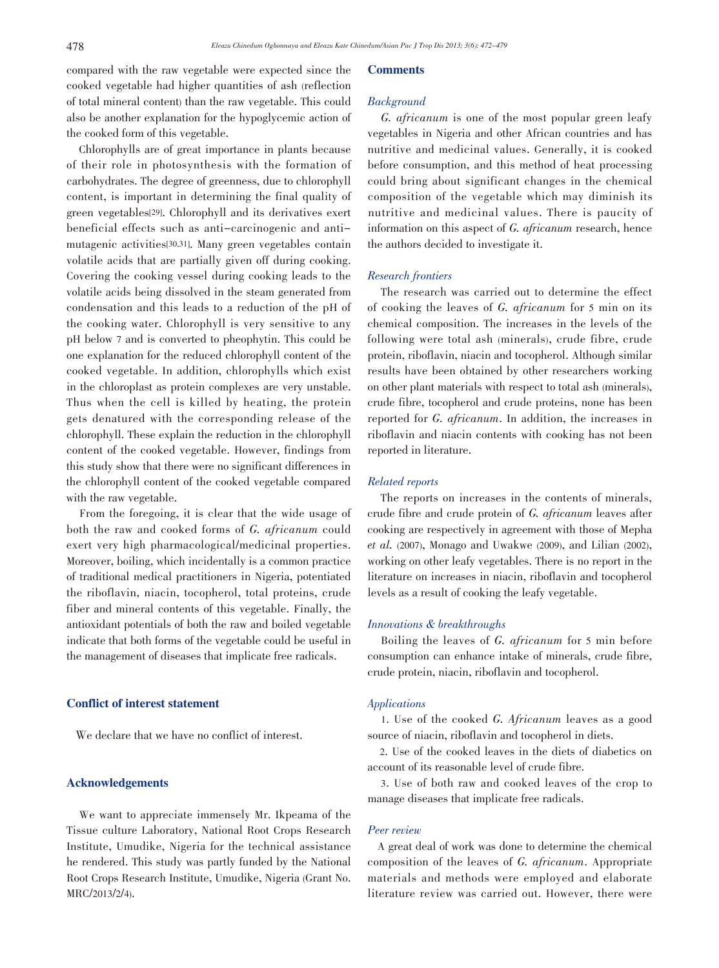compared with the raw vegetable were expected since the cooked vegetable had higher quantities of ash (reflection of total mineral content) than the raw vegetable. This could also be another explanation for the hypoglycemic action of the cooked form of this vegetable.

 Chlorophylls are of great importance in plants because of their role in photosynthesis with the formation of carbohydrates. The degree of greenness, due to chlorophyll content, is important in determining the final quality of green vegetables[29]. Chlorophyll and its derivatives exert beneficial effects such as anti-carcinogenic and antimutagenic activities[30,31]. Many green vegetables contain volatile acids that are partially given off during cooking. Covering the cooking vessel during cooking leads to the volatile acids being dissolved in the steam generated from condensation and this leads to a reduction of the pH of the cooking water. Chlorophyll is very sensitive to any pH below 7 and is converted to pheophytin. This could be one explanation for the reduced chlorophyll content of the cooked vegetable. In addition, chlorophylls which exist in the chloroplast as protein complexes are very unstable. Thus when the cell is killed by heating, the protein gets denatured with the corresponding release of the chlorophyll. These explain the reduction in the chlorophyll content of the cooked vegetable. However, findings from this study show that there were no significant differences in the chlorophyll content of the cooked vegetable compared with the raw vegetable.

 From the foregoing, it is clear that the wide usage of both the raw and cooked forms of G. africanum could exert very high pharmacological/medicinal properties. Moreover, boiling, which incidentally is a common practice of traditional medical practitioners in Nigeria, potentiated the riboflavin, niacin, tocopherol, total proteins, crude fiber and mineral contents of this vegetable. Finally, the antioxidant potentials of both the raw and boiled vegetable indicate that both forms of the vegetable could be useful in the management of diseases that implicate free radicals.

## Conflict of interest statement

We declare that we have no conflict of interest.

## Acknowledgements

 We want to appreciate immensely Mr. Ikpeama of the Tissue culture Laboratory, National Root Crops Research Institute, Umudike, Nigeria for the technical assistance he rendered. This study was partly funded by the National Root Crops Research Institute, Umudike, Nigeria (Grant No. MRC/2013/2/4).

#### **Comments**

### Background

 G. africanum is one of the most popular green leafy vegetables in Nigeria and other African countries and has nutritive and medicinal values. Generally, it is cooked before consumption, and this method of heat processing could bring about significant changes in the chemical composition of the vegetable which may diminish its nutritive and medicinal values. There is paucity of information on this aspect of G. africanum research, hence the authors decided to investigate it.

## Research frontiers

 The research was carried out to determine the effect of cooking the leaves of G. africanum for 5 min on its chemical composition. The increases in the levels of the following were total ash (minerals), crude fibre, crude protein, riboflavin, niacin and tocopherol. Although similar results have been obtained by other researchers working on other plant materials with respect to total ash (minerals), crude fibre, tocopherol and crude proteins, none has been reported for G. africanum. In addition, the increases in riboflavin and niacin contents with cooking has not been reported in literature.

## Related reports

 The reports on increases in the contents of minerals, crude fibre and crude protein of G. africanum leaves after cooking are respectively in agreement with those of Mepha et al. (2007), Monago and Uwakwe (2009), and Lilian (2002), working on other leafy vegetables. There is no report in the literature on increases in niacin, riboflavin and tocopherol levels as a result of cooking the leafy vegetable.

## Innovations & breakthroughs

 Boiling the leaves of G. africanum for 5 min before consumption can enhance intake of minerals, crude fibre, crude protein, niacin, riboflavin and tocopherol.

## Applications

 1. Use of the cooked G. Africanum leaves as a good source of niacin, riboflavin and tocopherol in diets.

 2. Use of the cooked leaves in the diets of diabetics on account of its reasonable level of crude fibre.

 3. Use of both raw and cooked leaves of the crop to manage diseases that implicate free radicals.

## Peer review

 A great deal of work was done to determine the chemical composition of the leaves of G. africanum. Appropriate materials and methods were employed and elaborate literature review was carried out. However, there were